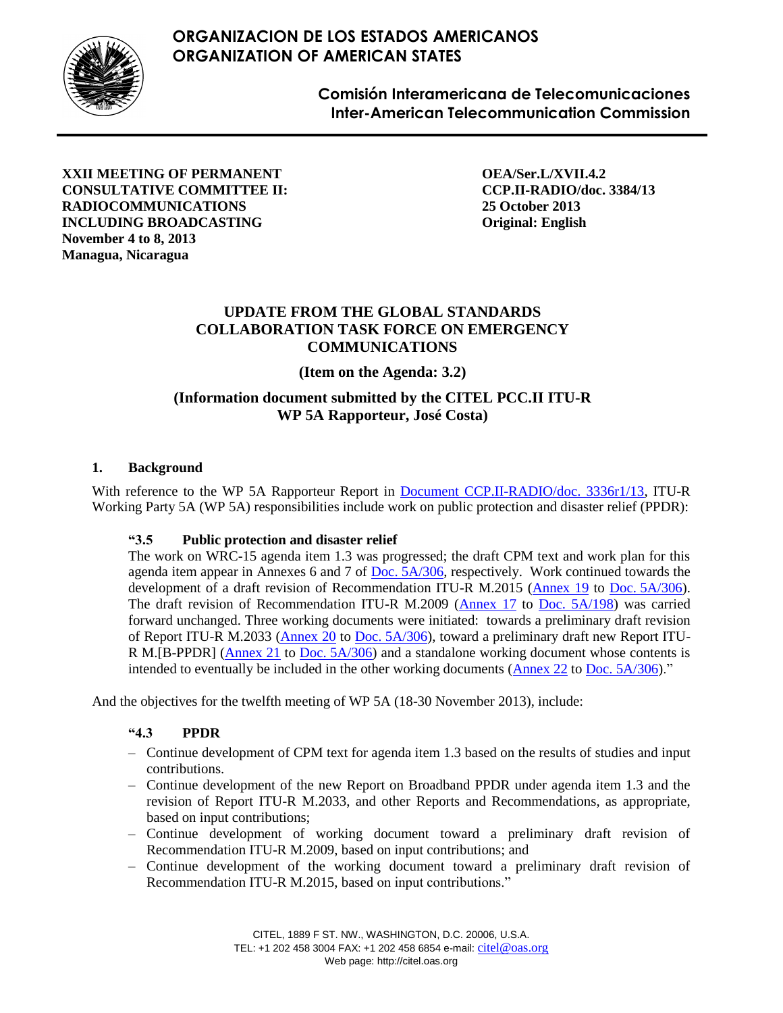# **ORGANIZACION DE LOS ESTADOS AMERICANOS ORGANIZATION OF AMERICAN STATES**



**Comisión Interamericana de Telecomunicaciones Inter-American Telecommunication Commission**

**XXII MEETING OF PERMANENT CONSULTATIVE COMMITTEE II: RADIOCOMMUNICATIONS INCLUDING BROADCASTING November 4 to 8, 2013 Managua, Nicaragua**

**OEA/Ser.L/XVII.4.2 CCP.II-RADIO/doc. 3384/13 25 October 2013 Original: English**

### **UPDATE FROM THE GLOBAL STANDARDS COLLABORATION TASK FORCE ON EMERGENCY COMMUNICATIONS**

**(Item on the Agenda: 3.2)**

## **(Information document submitted by the CITEL PCC.II ITU-R WP 5A Rapporteur, José Costa)**

### **1. Background**

With reference to the WP 5A Rapporteur Report in [Document CCP.II-RADIO/doc. 3336r1/13,](https://www.citel.oas.org/en/collaborative/pccii/22_NIC_13/22_NIC_13_Current_Documents/Meeting%20Documents%20%E2%80%93%20Documentos%20de%20la%20Reuni%C3%B3n/P2!R-3336_i.doc) ITU-R Working Party 5A (WP 5A) responsibilities include work on public protection and disaster relief (PPDR):

### **"3.5 Public protection and disaster relief**

The work on WRC-15 agenda item 1.3 was progressed; the draft CPM text and work plan for this agenda item appear in Annexes 6 and 7 of Doc. [5A/306,](http://www.itu.int/md/R12-WP5A-C-0306) respectively. Work continued towards the development of a draft revision of Recommendation ITU-R M.2015 [\(Annex 19](http://www.itu.int/md/dologin_md.asp?lang=en&id=R12-WP5A-C-0306!N19!MSW-E) to Doc. [5A/306\)](http://www.itu.int/md/R12-WP5A-C-0306). The draft revision of Recommendation ITU-R M.2009 [\(Annex 17](http://www.itu.int/md/dologin_md.asp?lang=en&id=R12-WP5A-C-0198!N17!MSW-E) to [Doc. 5A/198\)](http://www.itu.int/md/R12-WP5A-C-0198/en) was carried forward unchanged. Three working documents were initiated: towards a preliminary draft revision of Report ITU-R M.2033 [\(Annex 20](http://www.itu.int/md/dologin_md.asp?lang=en&id=R12-WP5A-C-0306!N20!MSW-E) to Doc. [5A/306\)](http://www.itu.int/md/R12-WP5A-C-0306), toward a preliminary draft new Report ITU-R M.[B-PPDR] [\(Annex 21](http://www.itu.int/md/dologin_md.asp?lang=en&id=R12-WP5A-C-0306!N21!MSW-E) to Doc. [5A/306\)](http://www.itu.int/md/R12-WP5A-C-0306) and a standalone working document whose contents is intended to eventually be included in the other working documents [\(Annex 22](http://www.itu.int/md/dologin_md.asp?lang=en&id=R12-WP5A-C-0306!N22!MSW-E) to Doc. [5A/306\)](http://www.itu.int/md/R12-WP5A-C-0306)."

And the objectives for the twelfth meeting of WP 5A (18-30 November 2013), include:

### **"4.3 PPDR**

- Continue development of CPM text for agenda item 1.3 based on the results of studies and input contributions.
- Continue development of the new Report on Broadband PPDR under agenda item 1.3 and the revision of Report ITU-R M.2033, and other Reports and Recommendations, as appropriate, based on input contributions;
- Continue development of working document toward a preliminary draft revision of Recommendation ITU-R M.2009, based on input contributions; and
- Continue development of the working document toward a preliminary draft revision of Recommendation ITU-R M.2015, based on input contributions."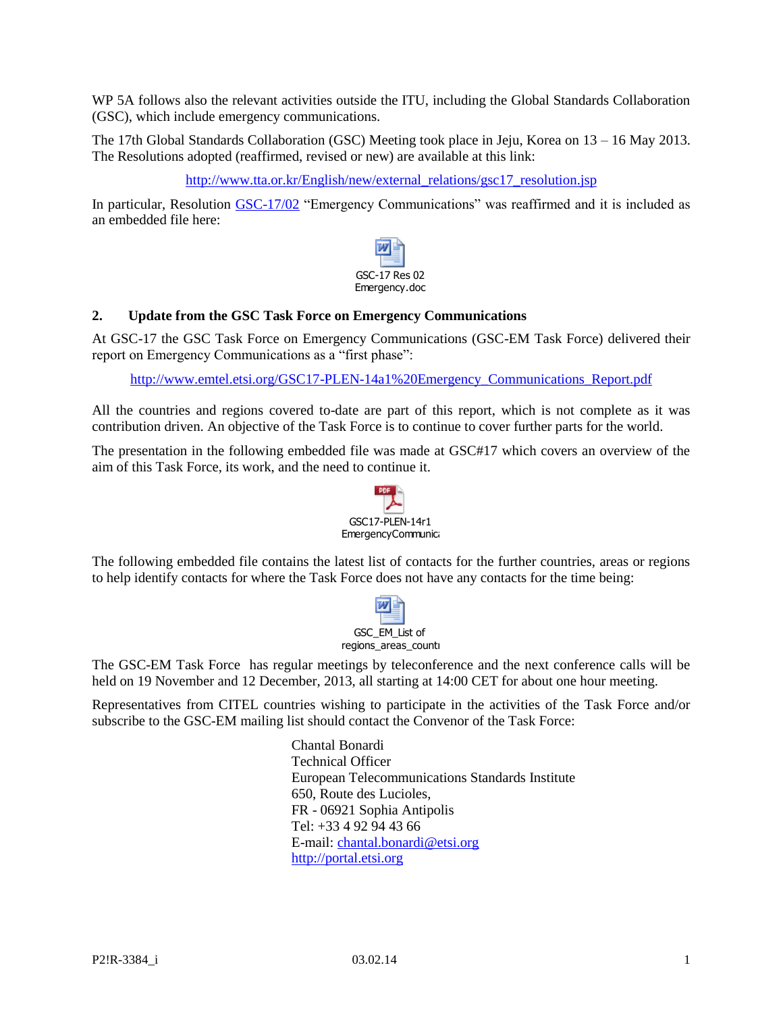WP 5A follows also the relevant activities outside the ITU, including the Global Standards Collaboration (GSC), which include emergency communications.

The 17th Global Standards Collaboration (GSC) Meeting took place in Jeju, Korea on 13 – 16 May 2013. The Resolutions adopted (reaffirmed, revised or new) are available at this link:

[http://www.tta.or.kr/English/new/external\\_relations/gsc17\\_resolution.jsp](http://www.tta.or.kr/English/new/external_relations/gsc17_resolution.jsp)

In particular, Resolution [GSC-17/02](http://www.tta.or.kr/include/Download.jsp?filename=externalDocument/GSC-17+Res+02+Emergency.doc) "Emergency Communications" was reaffirmed and it is included as an embedded file here:



#### **2. Update from the GSC Task Force on Emergency Communications**

At GSC-17 the GSC Task Force on Emergency Communications (GSC-EM Task Force) delivered their report on Emergency Communications as a "first phase":

[http://www.emtel.etsi.org/GSC17-PLEN-14a1%20Emergency\\_Communications\\_Report.pdf](http://www.emtel.etsi.org/GSC17-PLEN-14a1%20Emergency_Communications_Report.pdf)

All the countries and regions covered to-date are part of this report, which is not complete as it was contribution driven. An objective of the Task Force is to continue to cover further parts for the world.

The presentation in the following embedded file was made at GSC#17 which covers an overview of the aim of this Task Force, its work, and the need to continue it.



The following embedded file contains the latest list of contacts for the further countries, areas or regions to help identify contacts for where the Task Force does not have any contacts for the time being:



The GSC-EM Task Force has regular meetings by teleconference and the next conference calls will be held on 19 November and 12 December, 2013, all starting at 14:00 CET for about one hour meeting.

Representatives from CITEL countries wishing to participate in the activities of the Task Force and/or subscribe to the GSC-EM mailing list should contact the Convenor of the Task Force:

> Chantal Bonardi Technical Officer European Telecommunications Standards Institute 650, Route des Lucioles, FR - 06921 Sophia Antipolis Tel: +33 4 92 94 43 66 E-mail[: chantal.bonardi@etsi.org](mailto:chantal.bonardi@etsi.org) [http://portal.etsi.org](http://portal.etsi.org/)